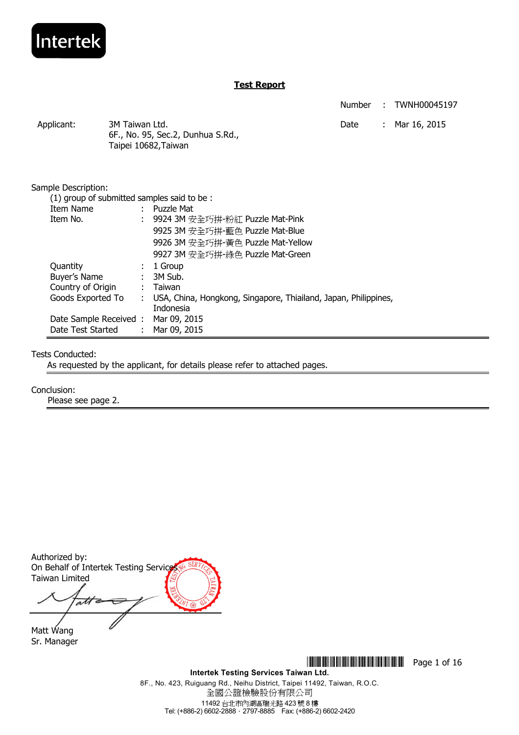

Number : TWNH00045197 Date : Mar 16, 2015

| Applicant: | 3M Taiwan Ltd.                    |
|------------|-----------------------------------|
|            | 6F., No. 95, Sec.2, Dunhua S.Rd., |
|            | Taipei 10682, Taiwan              |

| Sample Description:                        |    |                                                                 |
|--------------------------------------------|----|-----------------------------------------------------------------|
| (1) group of submitted samples said to be: |    |                                                                 |
| Item Name                                  |    | $:$ Puzzle Mat                                                  |
| Item No.                                   |    | 9924 3M 安全巧拼-粉紅 Puzzle Mat-Pink                                 |
|                                            |    | 9925 3M 安全巧拼-藍色 Puzzle Mat-Blue                                 |
|                                            |    | 9926 3M 安全巧拼-黃色 Puzzle Mat-Yellow                               |
|                                            |    | 9927 3M 安全巧拼-綠色 Puzzle Mat-Green                                |
| Quantity                                   |    | $: 1$ Group                                                     |
| Buyer's Name                               |    | : 3M Sub.                                                       |
| Country of Origin                          |    | : Taiwan                                                        |
| Goods Exported To                          | t. | USA, China, Hongkong, Singapore, Thiailand, Japan, Philippines, |
|                                            |    | Indonesia                                                       |
| Date Sample Received:                      |    | Mar 09, 2015                                                    |
| Date Test Started                          |    | : Mar 09, 2015                                                  |

#### Tests Conducted:

As requested by the applicant, for details please refer to attached pages.

#### Conclusion:

Please see page 2.

Authorized by: On Behalf of Intertek Testing Service Taiwan Limited att

Matt Wang Sr. Manager

**THE THE TERM OF 16** THE TERM OF 16 THE TERM OF 16

**Intertek Testing Services Taiwan Ltd.**  8F., No. 423, Ruiguang Rd., Neihu District, Taipei 11492, Taiwan, R.O.C. 全國公證檢驗股份有限公司 11492 台北市內湖區瑞光路 423 號 8 樓 Tel: (+886-2) 6602-2888.2797-8885 Fax: (+886-2) 6602-2420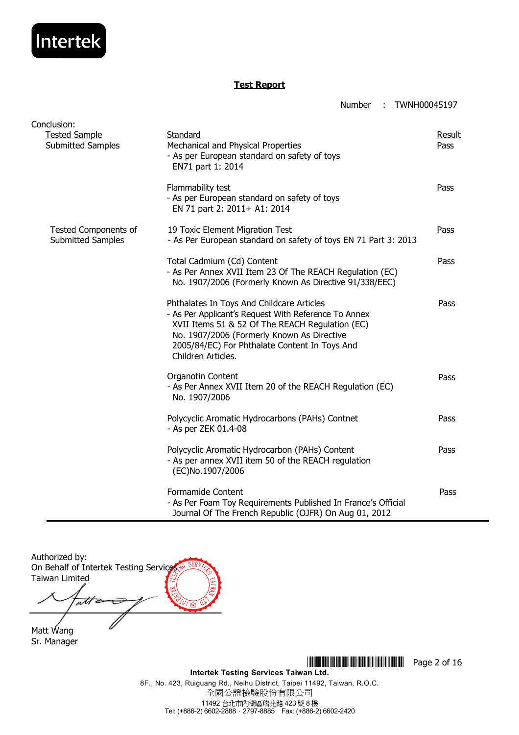

Number : TWNH00045197

| Conclusion:                                      |                                                                                                                                                                                                                                                                           |                |
|--------------------------------------------------|---------------------------------------------------------------------------------------------------------------------------------------------------------------------------------------------------------------------------------------------------------------------------|----------------|
| <b>Tested Sample</b><br><b>Submitted Samples</b> | Standard<br>Mechanical and Physical Properties<br>- As per European standard on safety of toys<br>EN71 part 1: 2014                                                                                                                                                       | Result<br>Pass |
|                                                  | Flammability test<br>- As per European standard on safety of toys<br>EN 71 part 2: 2011+ A1: 2014                                                                                                                                                                         | Pass           |
| Tested Components of<br><b>Submitted Samples</b> | 19 Toxic Element Migration Test<br>- As Per European standard on safety of toys EN 71 Part 3: 2013                                                                                                                                                                        | Pass           |
|                                                  | Total Cadmium (Cd) Content<br>- As Per Annex XVII Item 23 Of The REACH Regulation (EC)<br>No. 1907/2006 (Formerly Known As Directive 91/338/EEC)                                                                                                                          | Pass           |
|                                                  | Phthalates In Toys And Childcare Articles<br>- As Per Applicant's Request With Reference To Annex<br>XVII Items 51 & 52 Of The REACH Regulation (EC)<br>No. 1907/2006 (Formerly Known As Directive<br>2005/84/EC) For Phthalate Content In Toys And<br>Children Articles. | Pass           |
|                                                  | Organotin Content<br>- As Per Annex XVII Item 20 of the REACH Regulation (EC)<br>No. 1907/2006                                                                                                                                                                            | Pass           |
|                                                  | Polycyclic Aromatic Hydrocarbons (PAHs) Contnet<br>- As per ZEK 01.4-08                                                                                                                                                                                                   | Pass           |
|                                                  | Polycyclic Aromatic Hydrocarbon (PAHs) Content<br>- As per annex XVII item 50 of the REACH regulation<br>(EC)No.1907/2006                                                                                                                                                 | Pass           |
|                                                  | Formamide Content<br>- As Per Foam Toy Requirements Published In France's Official<br>Journal Of The French Republic (OJFR) On Aug 01, 2012                                                                                                                               | Pass           |

Authorized by: On Behalf of Intertek Testing Service Taiwan Limited att ⇆

Matt Wang Sr. Manager

> **Intertek Testing Services Taiwan Ltd.**  8F., No. 423, Ruiguang Rd., Neihu District, Taipei 11492, Taiwan, R.O.C. 全國公證檢驗股份有限公司 11492 台北市內湖區瑞光路 423 號 8 樓 Tel: (+886-2) 6602-2888.2797-8885 Fax: (+886-2) 6602-2420

**THE THEFT THE TERM IN THE TERM IN THE TERM** Page 2 of 16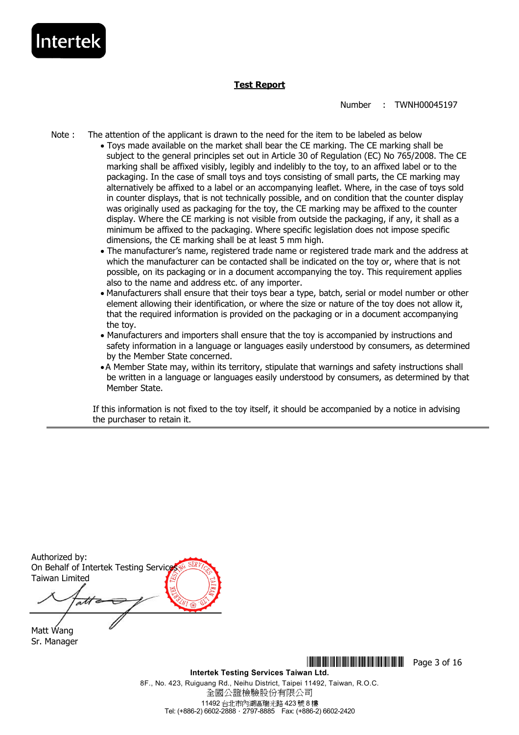

Number : TWNH00045197

- Note : The attention of the applicant is drawn to the need for the item to be labeled as below
	- Toys made available on the market shall bear the CE marking. The CE marking shall be subject to the general principles set out in Article 30 of Regulation (EC) No 765/2008. The CE marking shall be affixed visibly, legibly and indelibly to the toy, to an affixed label or to the packaging. In the case of small toys and toys consisting of small parts, the CE marking may alternatively be affixed to a label or an accompanying leaflet. Where, in the case of toys sold in counter displays, that is not technically possible, and on condition that the counter display was originally used as packaging for the toy, the CE marking may be affixed to the counter display. Where the CE marking is not visible from outside the packaging, if any, it shall as a minimum be affixed to the packaging. Where specific legislation does not impose specific dimensions, the CE marking shall be at least 5 mm high.
	- The manufacturer's name, registered trade name or registered trade mark and the address at which the manufacturer can be contacted shall be indicated on the toy or, where that is not possible, on its packaging or in a document accompanying the toy. This requirement applies also to the name and address etc. of any importer.
	- Manufacturers shall ensure that their toys bear a type, batch, serial or model number or other element allowing their identification, or where the size or nature of the toy does not allow it, that the required information is provided on the packaging or in a document accompanying the toy.
	- Manufacturers and importers shall ensure that the toy is accompanied by instructions and safety information in a language or languages easily understood by consumers, as determined by the Member State concerned.
	- A Member State may, within its territory, stipulate that warnings and safety instructions shall be written in a language or languages easily understood by consumers, as determined by that Member State.

If this information is not fixed to the toy itself, it should be accompanied by a notice in advising the purchaser to retain it.

Authorized by: On Behalf of Intertek Testing Service Taiwan Limited

Matt Wang Sr. Manager

> **Intertek Testing Services Taiwan Ltd.**  8F., No. 423, Ruiguang Rd., Neihu District, Taipei 11492, Taiwan, R.O.C. 全國公證檢驗股份有限公司 11492 台北市內湖區瑞光路 423 號 8 樓 Tel: (+886-2) 6602-2888.2797-8885 Fax: (+886-2) 6602-2420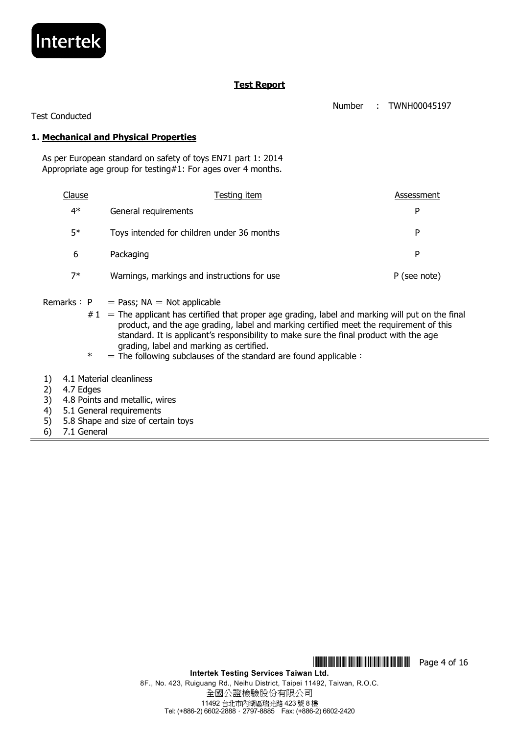

Number : TWNH00045197

Test Conducted

#### **1. Mechanical and Physical Properties**

 As per European standard on safety of toys EN71 part 1: 2014 Appropriate age group for testing#1: For ages over 4 months.

| Clause | Testing item                                | Assessment   |
|--------|---------------------------------------------|--------------|
| 4*     | General requirements                        | P            |
| $5*$   | Toys intended for children under 36 months  | P            |
| 6      | Packaging                                   | P            |
| $7*$   | Warnings, markings and instructions for use | P (see note) |

- Remarks:  $P = Pass$ ; NA = Not applicable
	- $#1 =$ The applicant has certified that proper age grading, label and marking will put on the final product, and the age grading, label and marking certified meet the requirement of this standard. It is applicant's responsibility to make sure the final product with the age grading, label and marking as certified.
	- $* = \overline{1}$  The following subclauses of the standard are found applicable:
- 1) 4.1 Material cleanliness
- 2) 4.7 Edges
- 3) 4.8 Points and metallic, wires
- 4) 5.1 General requirements
- 5) 5.8 Shape and size of certain toys
- 6) 7.1 General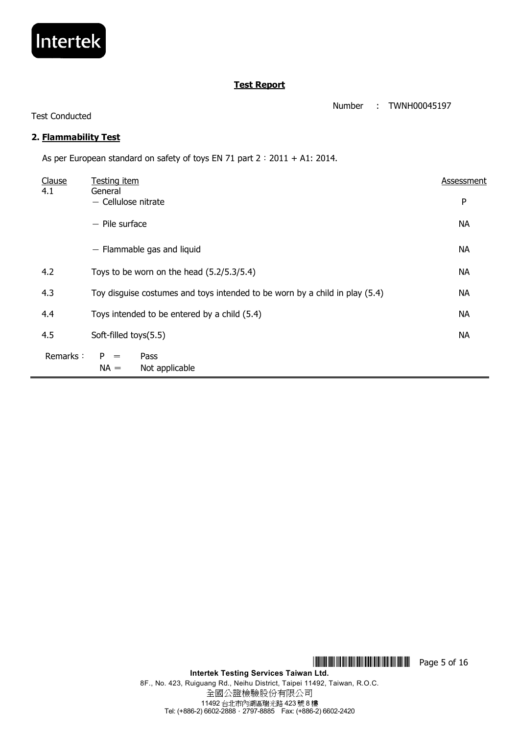

Number : TWNH00045197

#### Test Conducted

## **2. Flammability Test**

As per European standard on safety of toys EN 71 part 2 : 2011 + A1: 2014.

| Clause<br>4.1 | Testing item<br>General                                                     | Assessment |
|---------------|-----------------------------------------------------------------------------|------------|
|               | $-$ Cellulose nitrate                                                       | P          |
|               | $-$ Pile surface                                                            | <b>NA</b>  |
|               | $-$ Flammable gas and liquid                                                | <b>NA</b>  |
| 4.2           | Toys to be worn on the head $(5.2/5.3/5.4)$                                 | <b>NA</b>  |
| 4.3           | Toy disguise costumes and toys intended to be worn by a child in play (5.4) | <b>NA</b>  |
| 4.4           | Toys intended to be entered by a child (5.4)                                | <b>NA</b>  |
| 4.5           | Soft-filled toys(5.5)                                                       | <b>NA</b>  |
| Remarks:      | $P =$<br>Pass<br>$NA =$<br>Not applicable                                   |            |

\*TMJ0045197\* Page 5 of 16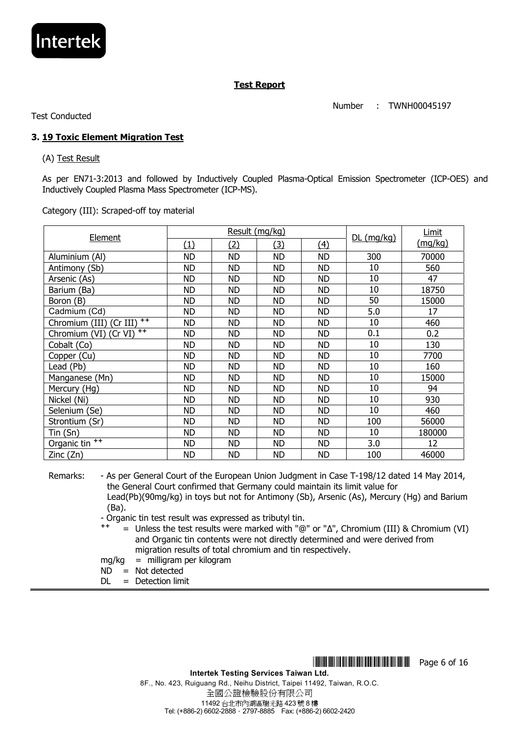

Number : TWNH00045197

Test Conducted

## **3. 19 Toxic Element Migration Test**

(A) Test Result

As per EN71-3:2013 and followed by Inductively Coupled Plasma-Optical Emission Spectrometer (ICP-OES) and Inductively Coupled Plasma Mass Spectrometer (ICP-MS).

Category (III): Scraped-off toy material

| <b>Element</b>                   |           | Result (mg/kg) | <u>DL (mg/kg)</u> | <b>Limit</b> |     |         |
|----------------------------------|-----------|----------------|-------------------|--------------|-----|---------|
|                                  | (1)       | (2)            | <u>(3)</u>        | (4)          |     | (mg/kg) |
| Aluminium (AI)                   | <b>ND</b> | <b>ND</b>      | <b>ND</b>         | <b>ND</b>    | 300 | 70000   |
| Antimony (Sb)                    | ND        | <b>ND</b>      | ND                | ND           | 10  | 560     |
| Arsenic (As)                     | ND        | ND             | ND                | ND           | 10  | 47      |
| Barium (Ba)                      | <b>ND</b> | <b>ND</b>      | <b>ND</b>         | <b>ND</b>    | 10  | 18750   |
| Boron (B)                        | <b>ND</b> | <b>ND</b>      | <b>ND</b>         | <b>ND</b>    | 50  | 15000   |
| Cadmium (Cd)                     | <b>ND</b> | ND             | <b>ND</b>         | <b>ND</b>    | 5.0 | 17      |
| $++$<br>Chromium (III) (Cr III)  | <b>ND</b> | <b>ND</b>      | <b>ND</b>         | <b>ND</b>    | 10  | 460     |
| $^{++}$<br>Chromium (VI) (Cr VI) | <b>ND</b> | <b>ND</b>      | <b>ND</b>         | <b>ND</b>    | 0.1 | 0.2     |
| Cobalt (Co)                      | <b>ND</b> | <b>ND</b>      | <b>ND</b>         | <b>ND</b>    | 10  | 130     |
| Copper (Cu)                      | <b>ND</b> | <b>ND</b>      | <b>ND</b>         | ND           | 10  | 7700    |
| Lead (Pb)                        | ND.       | ND             | ND                | ND           | 10  | 160     |
| Manganese (Mn)                   | <b>ND</b> | <b>ND</b>      | <b>ND</b>         | <b>ND</b>    | 10  | 15000   |
| Mercury (Hg)                     | <b>ND</b> | <b>ND</b>      | <b>ND</b>         | <b>ND</b>    | 10  | 94      |
| Nickel (Ni)                      | <b>ND</b> | <b>ND</b>      | <b>ND</b>         | <b>ND</b>    | 10  | 930     |
| Selenium (Se)                    | <b>ND</b> | <b>ND</b>      | <b>ND</b>         | <b>ND</b>    | 10  | 460     |
| Strontium (Sr)                   | <b>ND</b> | <b>ND</b>      | <b>ND</b>         | <b>ND</b>    | 100 | 56000   |
| Tin (Sn)                         | ND        | ND             | ND                | ND           | 10  | 180000  |
| Organic tin <sup>++</sup>        | <b>ND</b> | <b>ND</b>      | ND                | ND           | 3.0 | 12      |
| Zinc (Zn)                        | <b>ND</b> | ND             | <b>ND</b>         | <b>ND</b>    | 100 | 46000   |

Remarks: - As per General Court of the European Union Judgment in Case T-198/12 dated 14 May 2014, the General Court confirmed that Germany could maintain its limit value for Lead(Pb)(90mg/kg) in toys but not for Antimony (Sb), Arsenic (As), Mercury (Hg) and Barium (Ba).

- Organic tin test result was expressed as tributyl tin.

<sup>++</sup> = Unless the test results were marked with "@" or "Δ", Chromium (III) & Chromium (VI) and Organic tin contents were not directly determined and were derived from migration results of total chromium and tin respectively.

- mg/kg = milligram per kilogram
- $ND = Not detected$
- $DI =$  Detection limit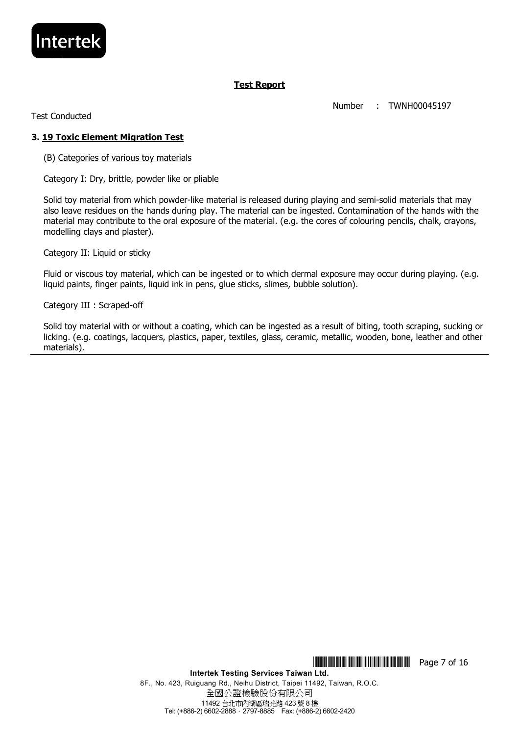

Number : TWNH00045197

Test Conducted

#### **3. 19 Toxic Element Migration Test**

(B) Categories of various toy materials

Category I: Dry, brittle, powder like or pliable

Solid toy material from which powder-like material is released during playing and semi-solid materials that may also leave residues on the hands during play. The material can be ingested. Contamination of the hands with the material may contribute to the oral exposure of the material. (e.g. the cores of colouring pencils, chalk, crayons, modelling clays and plaster).

Category II: Liquid or sticky

Fluid or viscous toy material, which can be ingested or to which dermal exposure may occur during playing. (e.g. liquid paints, finger paints, liquid ink in pens, glue sticks, slimes, bubble solution).

Category III : Scraped-off

Solid toy material with or without a coating, which can be ingested as a result of biting, tooth scraping, sucking or licking. (e.g. coatings, lacquers, plastics, paper, textiles, glass, ceramic, metallic, wooden, bone, leather and other materials).

\*TMJ0045197\* Page 7 of 16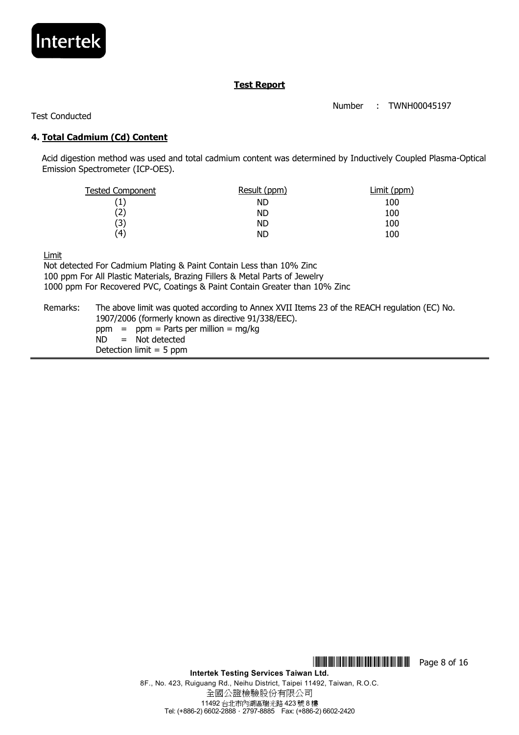

Number : TWNH00045197

Test Conducted

## **4. Total Cadmium (Cd) Content**

 Acid digestion method was used and total cadmium content was determined by Inductively Coupled Plasma-Optical Emission Spectrometer (ICP-OES).

| Result (ppm) | Limit (ppm) |
|--------------|-------------|
| <b>ND</b>    | 100         |
| <b>ND</b>    | 100         |
| <b>ND</b>    | 100         |
| <b>ND</b>    | 100         |
|              |             |

Limit

Not detected For Cadmium Plating & Paint Contain Less than 10% Zinc 100 ppm For All Plastic Materials, Brazing Fillers & Metal Parts of Jewelry 1000 ppm For Recovered PVC, Coatings & Paint Contain Greater than 10% Zinc Remarks: The above limit was quoted according to Annex XVII Items 23 of the REACH regulation (EC) No. 1907/2006 (formerly known as directive 91/338/EEC).  $ppm = ppm =$  Parts per million = mg/kg

ND = Not detected

Detection limit  $= 5$  ppm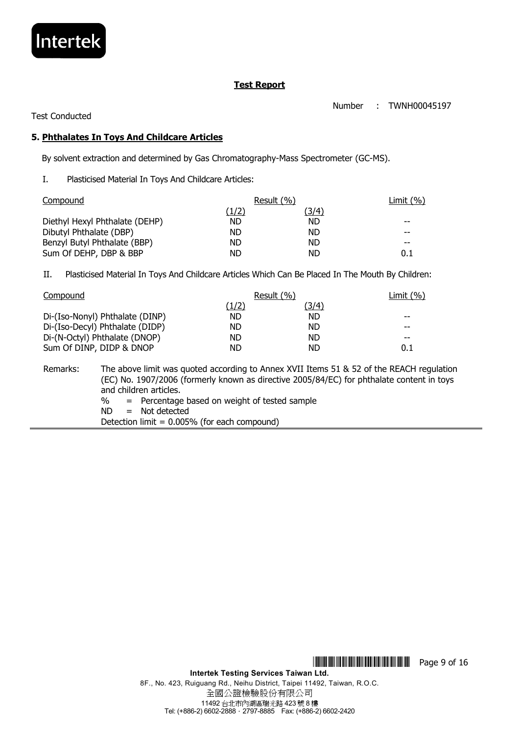

Number : TWNH00045197

#### Test Conducted

#### **5. Phthalates In Toys And Childcare Articles**

By solvent extraction and determined by Gas Chromatography-Mass Spectrometer (GC-MS).

I. Plasticised Material In Toys And Childcare Articles:

| Compound                       | Result (%) |           | Limit $(\% )$ |
|--------------------------------|------------|-----------|---------------|
|                                | (1/2)      | '3/4)     |               |
| Diethyl Hexyl Phthalate (DEHP) | ND         | <b>ND</b> |               |
| Dibutyl Phthalate (DBP)        | ND         | ND.       |               |
| Benzyl Butyl Phthalate (BBP)   | ND         | <b>ND</b> | $- -$         |
| Sum Of DEHP, DBP & BBP         | ND         | ND        | 0.1           |

II. Plasticised Material In Toys And Childcare Articles Which Can Be Placed In The Mouth By Children:

| Compound                        | Result (%) | Limit $(\% )$ |         |
|---------------------------------|------------|---------------|---------|
|                                 | (1/2)      | (3/4)         |         |
| Di-(Iso-Nonyl) Phthalate (DINP) | ND.        | <b>ND</b>     | $- -$   |
| Di-(Iso-Decyl) Phthalate (DIDP) | ND.        | ND.           | --      |
| Di-(N-Octyl) Phthalate (DNOP)   | ND         | ND            | --      |
| Sum Of DINP, DIDP & DNOP        | ND         | ND            | $0.1\,$ |

Remarks: The above limit was quoted according to Annex XVII Items 51 & 52 of the REACH regulation (EC) No. 1907/2006 (formerly known as directive 2005/84/EC) for phthalate content in toys and children articles. % = Percentage based on weight of tested sample ND = Not detected

Detection limit = 0.005% (for each compound)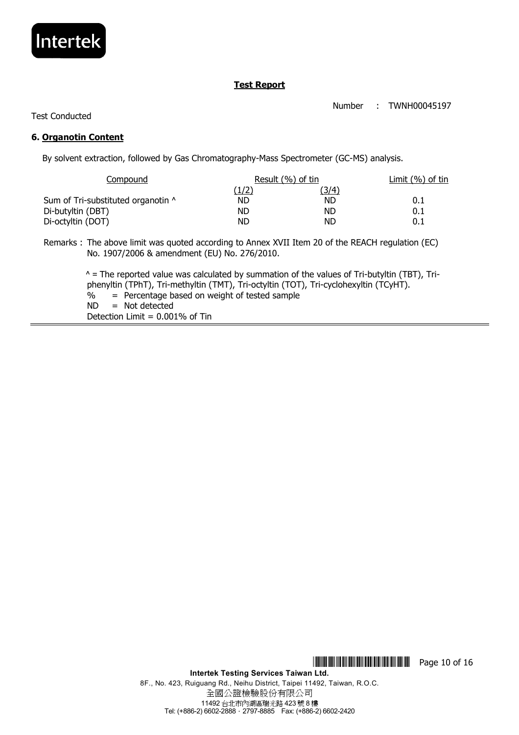

Number : TWNH00045197

Test Conducted

#### **6. Organotin Content**

By solvent extraction, followed by Gas Chromatography-Mass Spectrometer (GC-MS) analysis.

| Result (%) of tin |           | Limit (%) of tin |  |
|-------------------|-----------|------------------|--|
| <u>(1/2)</u>      | (3/4)     |                  |  |
| ND                | <b>ND</b> | $0.1\,$          |  |
| ND                | ND        | 0.1              |  |
| ND                | ND        | $0.1\,$          |  |
|                   |           |                  |  |

Remarks : The above limit was quoted according to Annex XVII Item 20 of the REACH regulation (EC) No. 1907/2006 & amendment (EU) No. 276/2010.

> $^{\circ}$  = The reported value was calculated by summation of the values of Tri-butyltin (TBT), Triphenyltin (TPhT), Tri-methyltin (TMT), Tri-octyltin (TOT), Tri-cyclohexyltin (TCyHT). % = Percentage based on weight of tested sample  $ND = Not detected$ Detection Limit  $= 0.001\%$  of Tin

\*TMJ0045197\* Page 10 of 16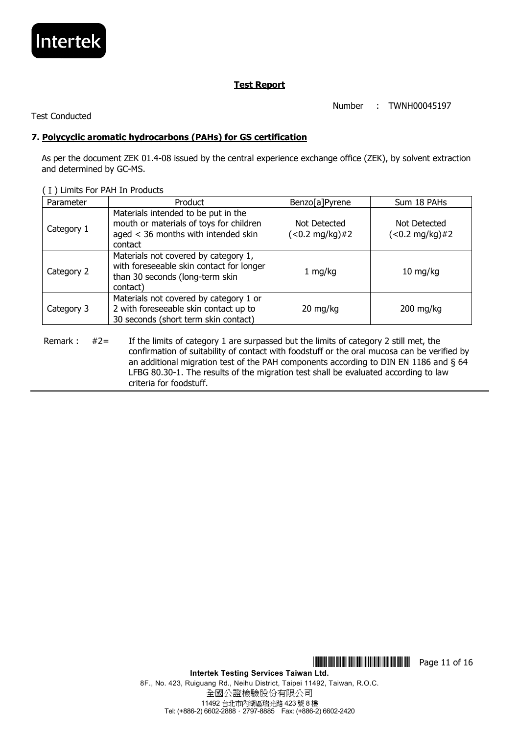

Number : TWNH00045197

Test Conducted

## **7. Polycyclic aromatic hydrocarbons (PAHs) for GS certification**

As per the document ZEK 01.4-08 issued by the central experience exchange office (ZEK), by solvent extraction and determined by GC-MS.

| Parameter  | Product                                                                                                                          | Benzo[a]Pyrene                    | Sum 18 PAHs                       |
|------------|----------------------------------------------------------------------------------------------------------------------------------|-----------------------------------|-----------------------------------|
| Category 1 | Materials intended to be put in the<br>mouth or materials of toys for children<br>aged < 36 months with intended skin<br>contact | Not Detected<br>$(<0.2 mg/kg)$ #2 | Not Detected<br>$(<0.2 mg/kg)$ #2 |
| Category 2 | Materials not covered by category 1,<br>with foreseeable skin contact for longer<br>than 30 seconds (long-term skin<br>contact)  | 1 mg/kg                           | $10 \; mg/kg$                     |
| Category 3 | Materials not covered by category 1 or<br>2 with foreseeable skin contact up to<br>30 seconds (short term skin contact)          | $20 \text{ mg/kg}$                | $200$ mg/kg                       |

(Ⅰ) Limits For PAH In Products

Remark : #2= If the limits of category 1 are surpassed but the limits of category 2 still met, the confirmation of suitability of contact with foodstuff or the oral mucosa can be verified by an additional migration test of the PAH components according to DIN EN 1186 and § 64 LFBG 80.30-1. The results of the migration test shall be evaluated according to law criteria for foodstuff.

\*TMJ0045197\* Page 11 of 16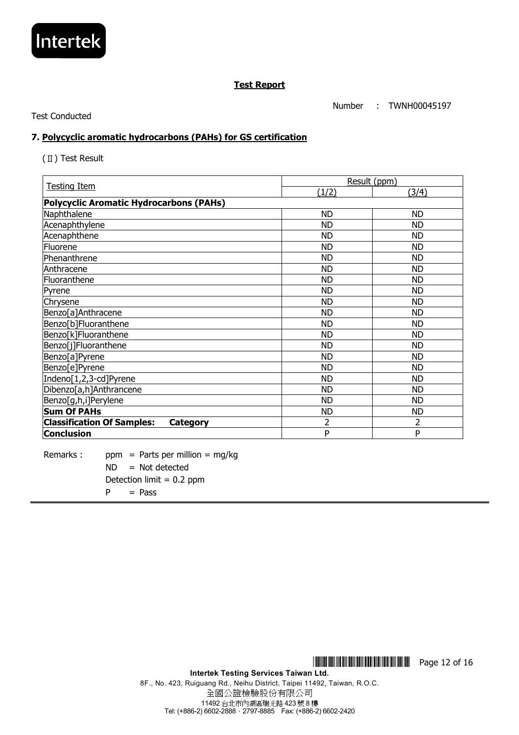

Number : TWNH00045197

Test Conducted

#### **7. Polycyclic aromatic hydrocarbons (PAHs) for GS certification**

(Ⅱ) Test Result

| <b>Testing Item</b>                            | Result (ppm) |           |  |
|------------------------------------------------|--------------|-----------|--|
|                                                | (1/2)        | (3/4)     |  |
| <b>Polycyclic Aromatic Hydrocarbons (PAHs)</b> |              |           |  |
| Naphthalene                                    | <b>ND</b>    | <b>ND</b> |  |
| Acenaphthylene                                 | <b>ND</b>    | <b>ND</b> |  |
| Acenaphthene                                   | <b>ND</b>    | <b>ND</b> |  |
| Fluorene                                       | <b>ND</b>    | <b>ND</b> |  |
| Phenanthrene                                   | <b>ND</b>    | <b>ND</b> |  |
| Anthracene                                     | <b>ND</b>    | <b>ND</b> |  |
| Fluoranthene                                   | <b>ND</b>    | <b>ND</b> |  |
| Pyrene                                         | <b>ND</b>    | <b>ND</b> |  |
| Chrysene                                       | <b>ND</b>    | <b>ND</b> |  |
| Benzo[a]Anthracene                             | <b>ND</b>    | <b>ND</b> |  |
| Benzo[b]Fluoranthene                           | <b>ND</b>    | <b>ND</b> |  |
| Benzo[k]Fluoranthene                           | <b>ND</b>    | <b>ND</b> |  |
| Benzo[j]Fluoranthene                           | <b>ND</b>    | <b>ND</b> |  |
| Benzo[a]Pyrene                                 | <b>ND</b>    | <b>ND</b> |  |
| Benzo[e]Pyrene                                 | <b>ND</b>    | <b>ND</b> |  |
| Indeno[1,2,3-cd]Pyrene                         | <b>ND</b>    | <b>ND</b> |  |
| Dibenzo[a,h]Anthrancene                        | <b>ND</b>    | <b>ND</b> |  |
| Benzo[g,h,i]Perylene                           | <b>ND</b>    | <b>ND</b> |  |
| <b>Sum Of PAHs</b>                             | <b>ND</b>    | <b>ND</b> |  |
| <b>Classification Of Samples:</b><br>Category  | 2            | 2         |  |
| <b>Conclusion</b>                              | P            | P         |  |

Remarks : ppm = Parts per million = mg/kg  $ND = Not detected$ Detection limit  $= 0.2$  ppm  $P = Pass$ 

> **Intertek Testing Services Taiwan Ltd.**  8F., No. 423, Ruiguang Rd., Neihu District, Taipei 11492, Taiwan, R.O.C. 全國公證檢驗股份有限公司 11492 台北市內湖區瑞光路 423 號 8 樓 Tel: (+886-2) 6602-2888.2797-8885 Fax: (+886-2) 6602-2420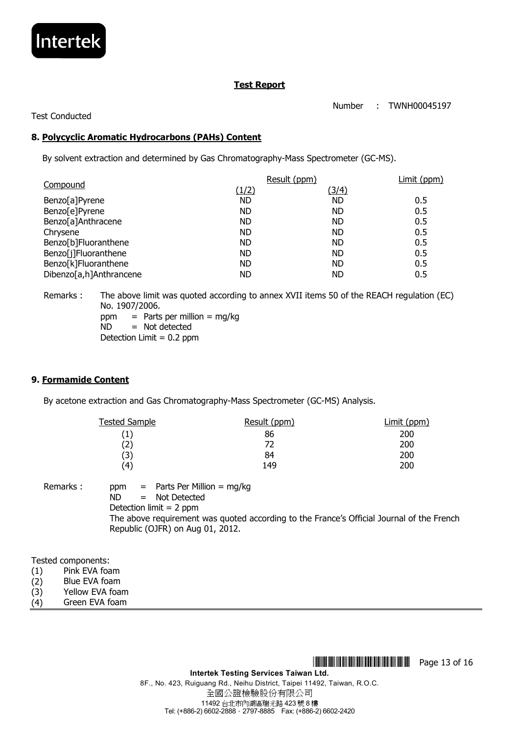

Number : TWNH00045197

## Test Conducted

## **8. Polycyclic Aromatic Hydrocarbons (PAHs) Content**

By solvent extraction and determined by Gas Chromatography-Mass Spectrometer (GC-MS).

| Compound                          | Result (ppm) | Limit (ppm) |
|-----------------------------------|--------------|-------------|
| (1/2)                             | <u>(3/4)</u> |             |
| Benzo[a]Pyrene<br><b>ND</b>       | <b>ND</b>    | 0.5         |
| Benzo[e]Pyrene<br>ND              | ND           | 0.5         |
| Benzo[a]Anthracene<br><b>ND</b>   | <b>ND</b>    | 0.5         |
| <b>ND</b><br>Chrysene             | <b>ND</b>    | 0.5         |
| Benzo[b]Fluoranthene<br><b>ND</b> | <b>ND</b>    | 0.5         |
| Benzo[j]Fluoranthene<br><b>ND</b> | <b>ND</b>    | 0.5         |
| Benzo[k]Fluoranthene<br>ND        | <b>ND</b>    | 0.5         |
| Dibenzo[a,h]Anthrancene<br>ND     | <b>ND</b>    | 0.5         |

Remarks : The above limit was quoted according to annex XVII items 50 of the REACH regulation (EC) No. 1907/2006. ppm  $=$  Parts per million  $=$  mg/kg ND = Not detected

Detection Limit = 0.2 ppm

#### **9. Formamide Content**

By acetone extraction and Gas Chromatography-Mass Spectrometer (GC-MS) Analysis.

| <b>Tested Sample</b> | Result (ppm) | Limit (ppm) |
|----------------------|--------------|-------------|
| $\left( 1\right)$    | 86           | 200         |
| (2)                  | 72           | 200         |
| (3)                  | 84           | 200         |
| (4)                  | 149          | 200         |

Remarks : ppm = Parts Per Million = mg/kg ND = Not Detected Detection limit = 2 ppm The above requirement was quoted according to the France's Official Journal of the French Republic (OJFR) on Aug 01, 2012.

Tested components:

- (1) Pink EVA foam
- (2) Blue EVA foam
- (3) Yellow EVA foam
- (4) Green EVA foam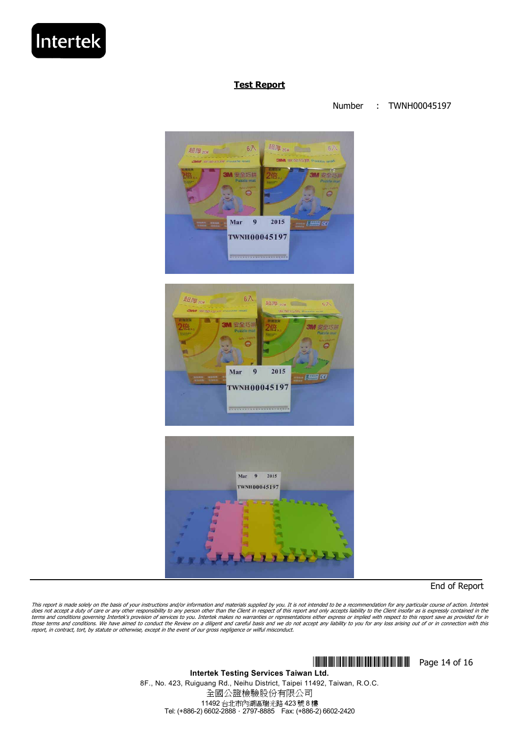

Number : TWNH00045197







End of Report

This report is made solely on the basis of your instructions and/or information and materials supplied by you. It is not intended to be a recommendation for any particular course of action. Intertek<br>does not accept a duty those terms and conditions. We have aimed to conduct the Review on a diligent and careful basis and we do not accept any liability to you for any loss arising out of or in connection with this<br>report, in contract, tort, by

> \*TMJ0045197\* Page 14 of 16 **Intertek Testing Services Taiwan Ltd.**  8F., No. 423, Ruiguang Rd., Neihu District, Taipei 11492, Taiwan, R.O.C. 全國公證檢驗股份有限公司 11492 台北市內湖區瑞光路 423 號 8 樓 Tel: (+886-2) 6602-2888.2797-8885 Fax: (+886-2) 6602-2420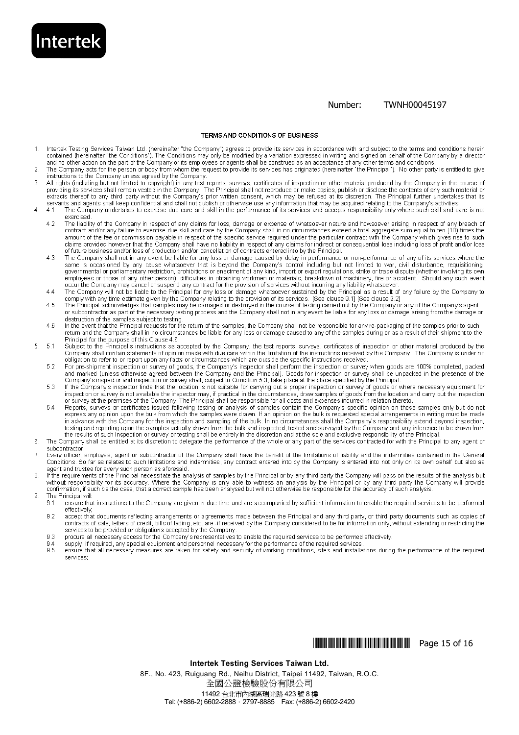Number: TWNH00045197

#### TERMS AND CONDITIONS OF BUSINESS

**Intertek** 

 $\overline{2}$ 

 $\overline{A}$ 

5

- Intertek Testing Services Taiwan Ltd. (hereinafter "the Company") agrees to provide its services in accordance with and subject to the terms and conditions herein<br>contained (hereinafter "the Conditions"). The Conditions ma  $\mathbf{1}$
- The Company acts for the person or body from whom the request to provide its services has originated (hereinafter "the Principal"). No other party is entitled to give instructions to the Company unless agreed by the Company.
- All rights (including but not limited to copyright) in any test reports, surveys, certificates of inspection or other material produced by the Company in the course of providing its services shall remain vested in the Comp 3 servants and agents shall keep confidential and shall not publish or otherwise use any information that may be acquired relating to the Company's activities
	- $-4.1$ The Company undertakes to exercise due care and skill in the performance of its services and accepts responsibility only where such skill and care is not exercised.
		- The liability of the Company in respect of any claims for loss, damage or expense of whatsoever nature and howsoever arising in respect of any breach of contract and/or any failure to exercise due skill and care by the Com  $4.2$ amount of the fee or commission payable in respect of the specific service required under the particular contract with the Company which gives rise to such claims provided however that the Company shall have no liability in respect of any claims for indirect or consequential loss including loss of profit and/or loss<br>of future business and/or loss of production and/or cancella
		- The Company shall not in any event be liable for any loss or damage caused by delay in performance or non-performance of any of its services where the 43 same is occasioned by any cause whatsoever that is beyond the Company's control including but not limited to war, civil disturbance, requisitioning, governmental or parliamentary restriction, prohibitions or enactment of a employees or those of any other person), difficulties in obtaining workmen or materials, breakdown of machinery, fire or accident. Should any such event<br>occur the Company may cancel or suspend any contract for the provisio
		- The Company will not be liable to the Principal for any loss or damage whatsoever sustained by the Principal as a result of any failure by the Company to  $4.4$ comply with any time estimate given by the Company relating to the provision of its services. [See clause 9.1] [See clause 9.2]
		- The Principal acknowledges that samples may be damaged or destroyed in the course of testing carried out by the Company or any of the Company's agent<br>The Principal acknowledges that samples may be damaged or destroyed in t  $45$ destruction of the samples subject to testing.<br>In the event that the Principal requests for the return of the samples, the Company shall not be responsible for any re-packaging of the samples prior to such In the event tha
	- $4.6$ return and the Company shall in no circumstances be liable for any loss or damage caused to any of the samples during or as a result of their shipment to the
	- Principal for the purpose of this Clause 4.6.<br>Subject to the Principal's instructions as accepted by the Company, the test reports, surveys, certificates of inspection or other material produced by the  $5.1$ Company shall contain statements of opinion made with due care within the limitation of the instructions received by the Company. The Company is under no obligation to refer to or report upon any facts or circumstances which are outside the specific instructions received.
		- For pre-shipment inspection or survey of goods, the Company's inspector shall perform the inspection or survey when goods are 100% completed, packed<br>and marked (unless otherwise agreed between the Company's inspector shall 52
		- If the Company's inspector finds that the location is not suitable for canying out a proper inspection or survey of goods or where necessary equipment for 5.3 inspection or survey is not available the inspector may, if practical in the circumstances, draw samples of goods from the location and carry out the inspection<br>or survey at the premises of the Company. The Principal shall
		- 54 express any opinion upon the bulk from which the samples were drawn. If an opinion on the bulk is requested special arrangements in writing must be made in advance with the Company for the inspection and sampling of the bulk. In no circumstances shall the Company's responsibility extend beyond inspection, testing and reporting upon the samples actually drawn from the bulk and inspected, tested and surveyed by the Company and any inference to be drawn from the samples actually drawn from the bulk and inspected, tested and su
- The Company shall be entitled at its discretion to delegate the performance of the whole or any part of the services contracted for with the Principal to any agent or 6 subcontractor.
- 7 Every officer, employee, agent or subcontractor of the Company shall have the benefit of the limitations of liability and the indemnities contained in the General Conditions. So far as relates to such limitations and indemnities, any contract entered into by the Company is entered into not only on its own behalf but also as
- agent and trustee for every such person as aforesaid.<br>If the requirements of the Principal necessitate the analysis of samples by the Principal or by any third party the Company will pass on the results of the analysis but without responsibility for its accuracy. Where the Company is only able to witness an analysis by the Principal or by any third party the Company will provide confirmation, if such be the case, that a correct sample has been analysed but will not otherwise be responsible for the accuracy of such analysis. The Princinal will: g
	- ensure that instructions to the Company are given in due time and are accompanied by sufficient information to enable the required services to be performed  $9.1$ effectively;
	- 9.2 accept that documents reflecting arrangements or agreements made between the Principal and any third party, or third party documents such as copies of contracts of sale, letters of credit, bills of lading, etc. are -if received by the Company considered to be for information only, without extending or restricting the services to be provided or obligations accepted by the
	- procure all necessary access for the Company's representatives to enable the required services to be performed effectively. 9.3
	- supply, if required, any special equipment and personnel necessary for the performance of the required services 9.5
	- ensure that all necessary measures are taken for safety and security of working conditions, sites and installations during the performance of the required services:

#### **WIMHINDINI AND IN THE THEFT Page 15 of 16**

#### **Intertek Testing Services Taiwan Ltd.**

8F., No. 423, Ruiguang Rd., Neihu District, Taipei 11492, Taiwan, R.O.C. 全國公證檢驗股份有限公司 11492 台北市內湖區瑞光路 423 號 8 樓 Tel: (+886-2) 6602-2888.2797-8885 Fax: (+886-2) 6602-2420